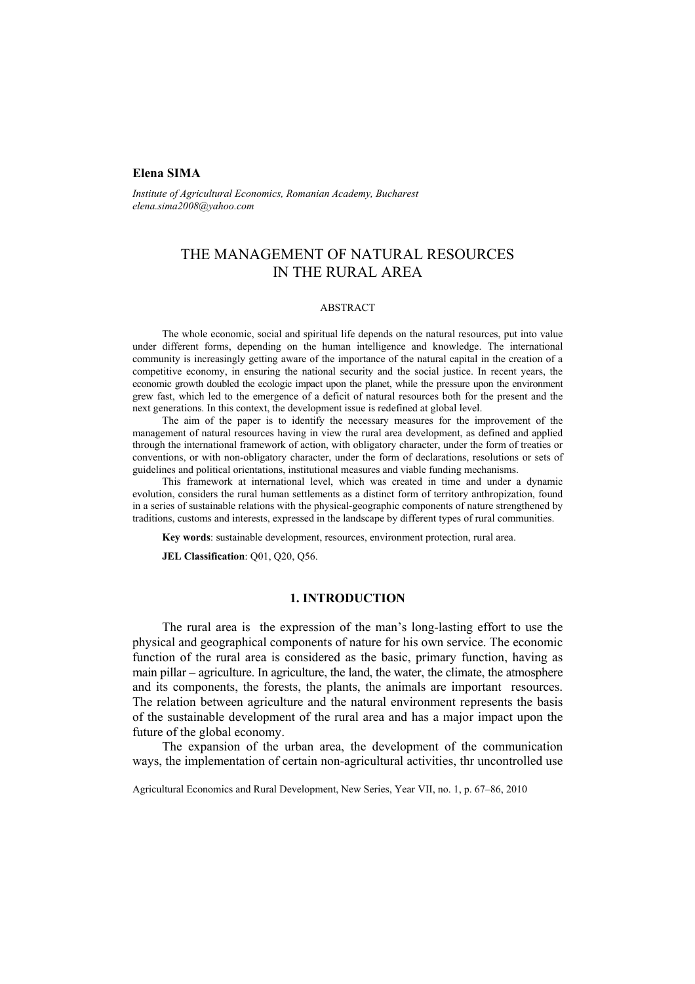### **Elena SIMA**

*Institute of Agricultural Economics, Romanian Academy, Bucharest elena.sima2008@yahoo.com* 

# THE MANAGEMENT OF NATURAL RESOURCES IN THE RURAL AREA

#### ABSTRACT

The whole economic, social and spiritual life depends on the natural resources, put into value under different forms, depending on the human intelligence and knowledge. The international community is increasingly getting aware of the importance of the natural capital in the creation of a competitive economy, in ensuring the national security and the social justice. In recent years, the economic growth doubled the ecologic impact upon the planet, while the pressure upon the environment grew fast, which led to the emergence of a deficit of natural resources both for the present and the next generations. In this context, the development issue is redefined at global level.

The aim of the paper is to identify the necessary measures for the improvement of the management of natural resources having in view the rural area development, as defined and applied through the international framework of action, with obligatory character, under the form of treaties or conventions, or with non-obligatory character, under the form of declarations, resolutions or sets of guidelines and political orientations, institutional measures and viable funding mechanisms.

This framework at international level, which was created in time and under a dynamic evolution, considers the rural human settlements as a distinct form of territory anthropization, found in a series of sustainable relations with the physical-geographic components of nature strengthened by traditions, customs and interests, expressed in the landscape by different types of rural communities.

**Key words**: sustainable development, resources, environment protection, rural area.

**JEL Classification**: Q01, Q20, Q56.

# **1. INTRODUCTION**

The rural area is the expression of the man's long-lasting effort to use the physical and geographical components of nature for his own service. The economic function of the rural area is considered as the basic, primary function, having as main pillar – agriculture. In agriculture, the land, the water, the climate, the atmosphere and its components, the forests, the plants, the animals are important resources. The relation between agriculture and the natural environment represents the basis of the sustainable development of the rural area and has a major impact upon the future of the global economy.

The expansion of the urban area, the development of the communication ways, the implementation of certain non-agricultural activities, thr uncontrolled use

Agricultural Economics and Rural Development, New Series, Year VII, no. 1, p. 67–86, 2010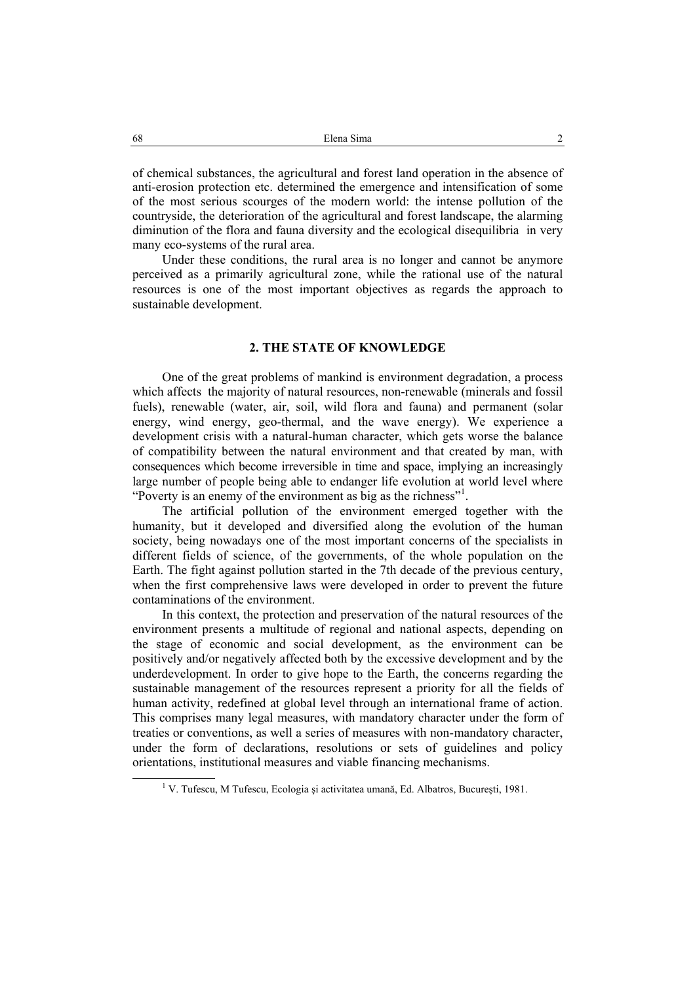of chemical substances, the agricultural and forest land operation in the absence of anti-erosion protection etc. determined the emergence and intensification of some of the most serious scourges of the modern world: the intense pollution of the countryside, the deterioration of the agricultural and forest landscape, the alarming diminution of the flora and fauna diversity and the ecological disequilibria in very many eco-systems of the rural area.

Under these conditions, the rural area is no longer and cannot be anymore perceived as a primarily agricultural zone, while the rational use of the natural resources is one of the most important objectives as regards the approach to sustainable development.

### **2. THE STATE OF KNOWLEDGE**

One of the great problems of mankind is environment degradation, a process which affects the majority of natural resources, non-renewable (minerals and fossil fuels), renewable (water, air, soil, wild flora and fauna) and permanent (solar energy, wind energy, geo-thermal, and the wave energy). We experience a development crisis with a natural-human character, which gets worse the balance of compatibility between the natural environment and that created by man, with consequences which become irreversible in time and space, implying an increasingly large number of people being able to endanger life evolution at world level where "Poverty is an enemy of the environment as big as the richness"<sup>1</sup>.

The artificial pollution of the environment emerged together with the humanity, but it developed and diversified along the evolution of the human society, being nowadays one of the most important concerns of the specialists in different fields of science, of the governments, of the whole population on the Earth. The fight against pollution started in the 7th decade of the previous century, when the first comprehensive laws were developed in order to prevent the future contaminations of the environment.

In this context, the protection and preservation of the natural resources of the environment presents a multitude of regional and national aspects, depending on the stage of economic and social development, as the environment can be positively and/or negatively affected both by the excessive development and by the underdevelopment. In order to give hope to the Earth, the concerns regarding the sustainable management of the resources represent a priority for all the fields of human activity, redefined at global level through an international frame of action. This comprises many legal measures, with mandatory character under the form of treaties or conventions, as well a series of measures with non-mandatory character, under the form of declarations, resolutions or sets of guidelines and policy orientations, institutional measures and viable financing mechanisms.

 $\overline{1}$ V. Tufescu, M Tufescu, Ecologia şi activitatea umană, Ed. Albatros, Bucureşti, 1981.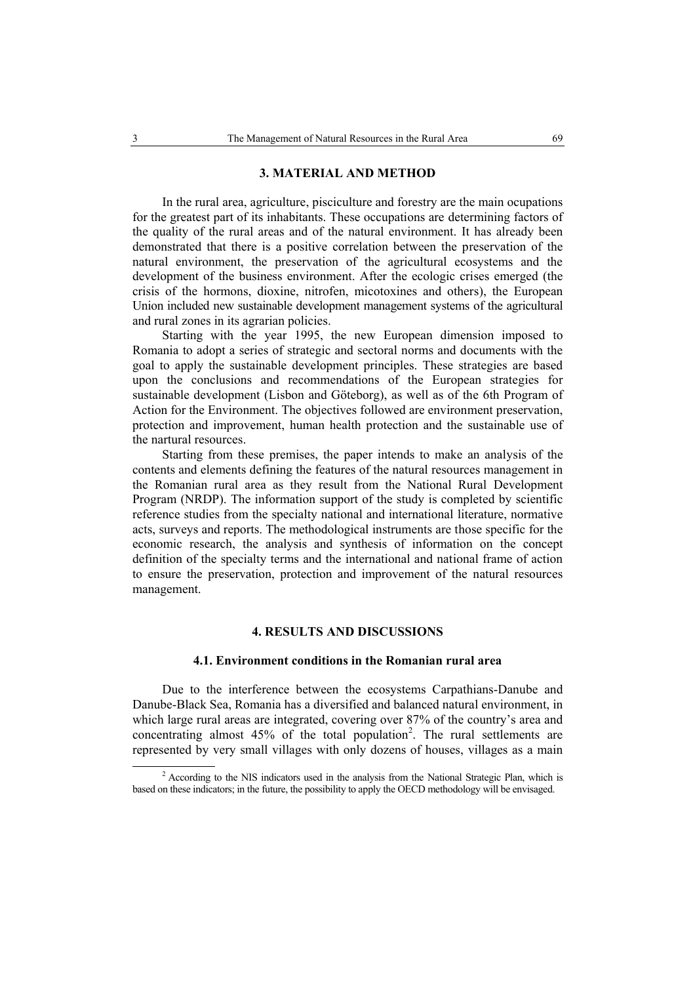#### **3. MATERIAL AND METHOD**

In the rural area, agriculture, pisciculture and forestry are the main ocupations for the greatest part of its inhabitants. These occupations are determining factors of the quality of the rural areas and of the natural environment. It has already been demonstrated that there is a positive correlation between the preservation of the natural environment, the preservation of the agricultural ecosystems and the development of the business environment. After the ecologic crises emerged (the crisis of the hormons, dioxine, nitrofen, micotoxines and others), the European Union included new sustainable development management systems of the agricultural and rural zones in its agrarian policies.

Starting with the year 1995, the new European dimension imposed to Romania to adopt a series of strategic and sectoral norms and documents with the goal to apply the sustainable development principles. These strategies are based upon the conclusions and recommendations of the European strategies for sustainable development (Lisbon and Göteborg), as well as of the 6th Program of Action for the Environment. The objectives followed are environment preservation, protection and improvement, human health protection and the sustainable use of the nartural resources.

Starting from these premises, the paper intends to make an analysis of the contents and elements defining the features of the natural resources management in the Romanian rural area as they result from the National Rural Development Program (NRDP). The information support of the study is completed by scientific reference studies from the specialty national and international literature, normative acts, surveys and reports. The methodological instruments are those specific for the economic research, the analysis and synthesis of information on the concept definition of the specialty terms and the international and national frame of action to ensure the preservation, protection and improvement of the natural resources management.

## **4. RESULTS AND DISCUSSIONS**

#### **4.1. Environment conditions in the Romanian rural area**

Due to the interference between the ecosystems Carpathians-Danube and Danube-Black Sea, Romania has a diversified and balanced natural environment, in which large rural areas are integrated, covering over 87% of the country's area and concentrating almost  $45%$  of the total population<sup>2</sup>. The rural settlements are represented by very small villages with only dozens of houses, villages as a main

 <sup>2</sup> <sup>2</sup> According to the NIS indicators used in the analysis from the National Strategic Plan, which is based on these indicators; in the future, the possibility to apply the OECD methodology will be envisaged.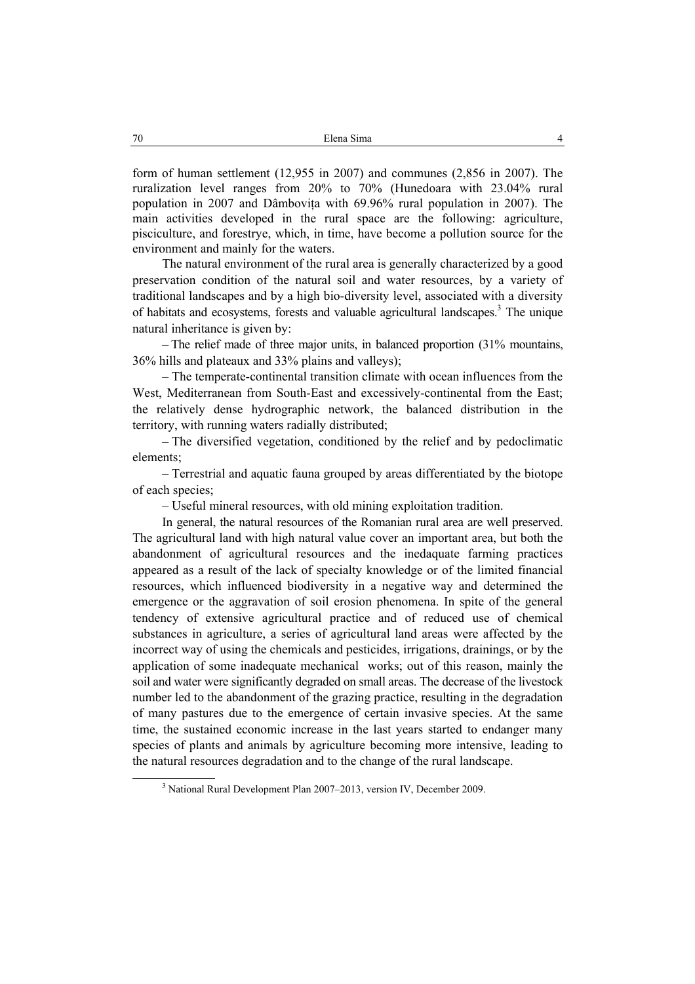form of human settlement (12,955 in 2007) and communes (2,856 in 2007). The ruralization level ranges from 20% to 70% (Hunedoara with 23.04% rural population in 2007 and Dâmbovita with 69.96% rural population in 2007). The main activities developed in the rural space are the following: agriculture, pisciculture, and forestrye, which, in time, have become a pollution source for the environment and mainly for the waters.

The natural environment of the rural area is generally characterized by a good preservation condition of the natural soil and water resources, by a variety of traditional landscapes and by a high bio-diversity level, associated with a diversity of habitats and ecosystems, forests and valuable agricultural landscapes.<sup>3</sup> The unique natural inheritance is given by:

– The relief made of three major units, in balanced proportion (31% mountains, 36% hills and plateaux and 33% plains and valleys);

– The temperate-continental transition climate with ocean influences from the West, Mediterranean from South-East and excessively-continental from the East; the relatively dense hydrographic network, the balanced distribution in the territory, with running waters radially distributed;

– The diversified vegetation, conditioned by the relief and by pedoclimatic elements;

– Terrestrial and aquatic fauna grouped by areas differentiated by the biotope of each species;

– Useful mineral resources, with old mining exploitation tradition.

In general, the natural resources of the Romanian rural area are well preserved. The agricultural land with high natural value cover an important area, but both the abandonment of agricultural resources and the inedaquate farming practices appeared as a result of the lack of specialty knowledge or of the limited financial resources, which influenced biodiversity in a negative way and determined the emergence or the aggravation of soil erosion phenomena. In spite of the general tendency of extensive agricultural practice and of reduced use of chemical substances in agriculture, a series of agricultural land areas were affected by the incorrect way of using the chemicals and pesticides, irrigations, drainings, or by the application of some inadequate mechanical works; out of this reason, mainly the soil and water were significantly degraded on small areas. The decrease of the livestock number led to the abandonment of the grazing practice, resulting in the degradation of many pastures due to the emergence of certain invasive species. At the same time, the sustained economic increase in the last years started to endanger many species of plants and animals by agriculture becoming more intensive, leading to the natural resources degradation and to the change of the rural landscape.

 $\overline{\phantom{a}}$ <sup>3</sup> National Rural Development Plan 2007–2013, version IV, December 2009.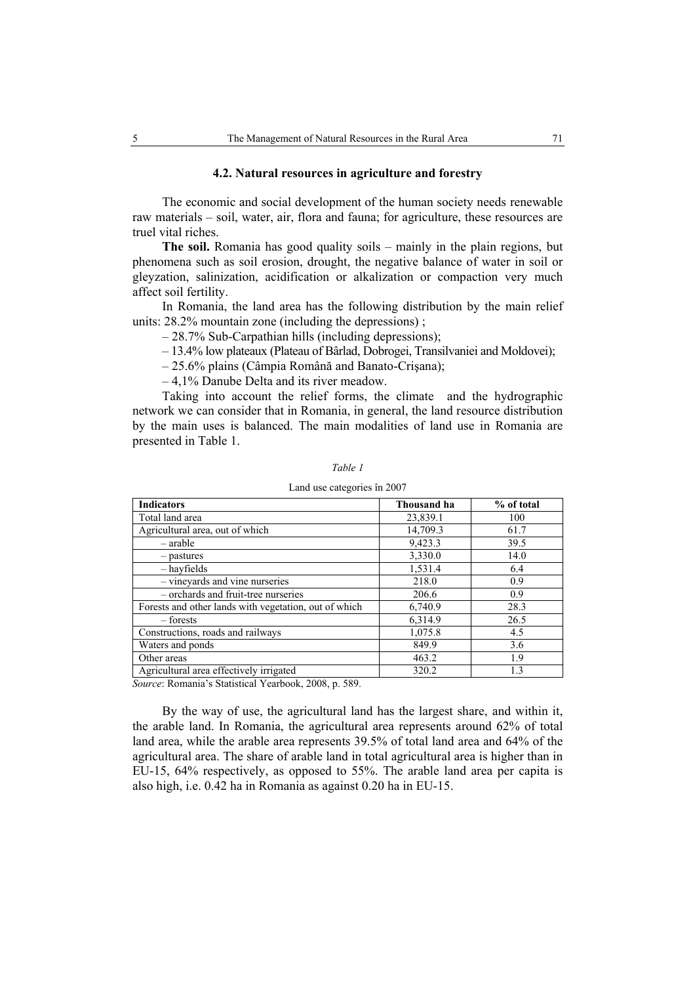### **4.2. Natural resources in agriculture and forestry**

The economic and social development of the human society needs renewable raw materials – soil, water, air, flora and fauna; for agriculture, these resources are truel vital riches.

**The soil.** Romania has good quality soils – mainly in the plain regions, but phenomena such as soil erosion, drought, the negative balance of water in soil or gleyzation, salinization, acidification or alkalization or compaction very much affect soil fertility.

In Romania, the land area has the following distribution by the main relief units: 28.2% mountain zone (including the depressions) ;

– 28.7% Sub-Carpathian hills (including depressions);

– 13.4% low plateaux (Plateau of Bârlad, Dobrogei, Transilvaniei and Moldovei);

– 25.6% plains (Câmpia Română and Banato-Crişana);

– 4,1% Danube Delta and its river meadow.

Taking into account the relief forms, the climate and the hydrographic network we can consider that in Romania, in general, the land resource distribution by the main uses is balanced. The main modalities of land use in Romania are presented in Table 1.

| <b>Indicators</b>                                     | Thousand ha | % of total |
|-------------------------------------------------------|-------------|------------|
| Total land area                                       | 23,839.1    | 100        |
| Agricultural area, out of which                       | 14,709.3    | 61.7       |
| – arable                                              | 9,423.3     | 39.5       |
| - pastures                                            | 3,330.0     | 14.0       |
| – hayfields                                           | 1,531.4     | 6.4        |
| - vineyards and vine nurseries                        | 218.0       | 0.9        |
| - orchards and fruit-tree nurseries                   | 206.6       | 0.9        |
| Forests and other lands with vegetation, out of which | 6,740.9     | 28.3       |
| – forests                                             | 6,314.9     | 26.5       |
| Constructions, roads and railways                     | 1,075.8     | 4.5        |
| Waters and ponds                                      | 849.9       | 3.6        |
| Other areas                                           | 463.2       | 1.9        |
| Agricultural area effectively irrigated               | 320.2       | 1.3        |

*Table 1* 

#### Land use categories în 2007

*Source*: Romania's Statistical Yearbook, 2008, p. 589.

By the way of use, the agricultural land has the largest share, and within it, the arable land. In Romania, the agricultural area represents around 62% of total land area, while the arable area represents 39.5% of total land area and 64% of the agricultural area. The share of arable land in total agricultural area is higher than in EU-15, 64% respectively, as opposed to 55%. The arable land area per capita is also high, i.e. 0.42 ha in Romania as against 0.20 ha in EU-15.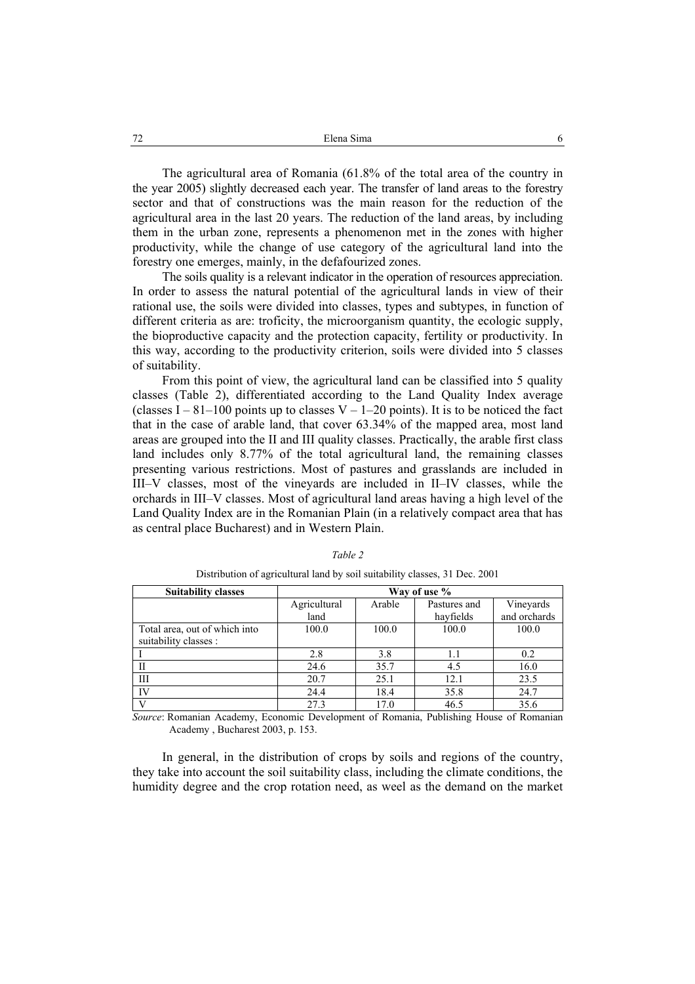The agricultural area of Romania (61.8% of the total area of the country in the year 2005) slightly decreased each year. The transfer of land areas to the forestry sector and that of constructions was the main reason for the reduction of the agricultural area in the last 20 years. The reduction of the land areas, by including them in the urban zone, represents a phenomenon met in the zones with higher productivity, while the change of use category of the agricultural land into the forestry one emerges, mainly, in the defafourized zones.

The soils quality is a relevant indicator in the operation of resources appreciation. In order to assess the natural potential of the agricultural lands in view of their rational use, the soils were divided into classes, types and subtypes, in function of different criteria as are: troficity, the microorganism quantity, the ecologic supply, the bioproductive capacity and the protection capacity, fertility or productivity. In this way, according to the productivity criterion, soils were divided into 5 classes of suitability.

From this point of view, the agricultural land can be classified into 5 quality classes (Table 2), differentiated according to the Land Quality Index average (classes I – 81–100 points up to classes V – 1–20 points). It is to be noticed the fact that in the case of arable land, that cover 63.34% of the mapped area, most land areas are grouped into the II and III quality classes. Practically, the arable first class land includes only 8.77% of the total agricultural land, the remaining classes presenting various restrictions. Most of pastures and grasslands are included in III–V classes, most of the vineyards are included in II–IV classes, while the orchards in III–V classes. Most of agricultural land areas having a high level of the Land Quality Index are in the Romanian Plain (in a relatively compact area that has as central place Bucharest) and in Western Plain.

| <b>Suitability classes</b>    | Way of use % |        |              |              |
|-------------------------------|--------------|--------|--------------|--------------|
|                               | Agricultural | Arable | Pastures and | Vineyards    |
|                               | land         |        | hayfields    | and orchards |
| Total area, out of which into | 100.0        | 100.0  | 100.0        | 100.0        |
| suitability classes :         |              |        |              |              |
|                               | 2.8          | 3.8    | 1.1          | 0.2          |
| П                             | 24.6         | 35.7   | 4.5          | 16.0         |
| Ш                             | 20.7         | 25.1   | 12.1         | 23.5         |
| IV                            | 24.4         | 18.4   | 35.8         | 24.7         |
| $\mathbf{V}$                  | 27.3         | 17.0   | 46.5         | 35.6         |

#### *Table 2*

Distribution of agricultural land by soil suitability classes, 31 Dec. 2001

*Source*: Romanian Academy, Economic Development of Romania, Publishing House of Romanian Academy , Bucharest 2003, p. 153.

In general, in the distribution of crops by soils and regions of the country, they take into account the soil suitability class, including the climate conditions, the humidity degree and the crop rotation need, as weel as the demand on the market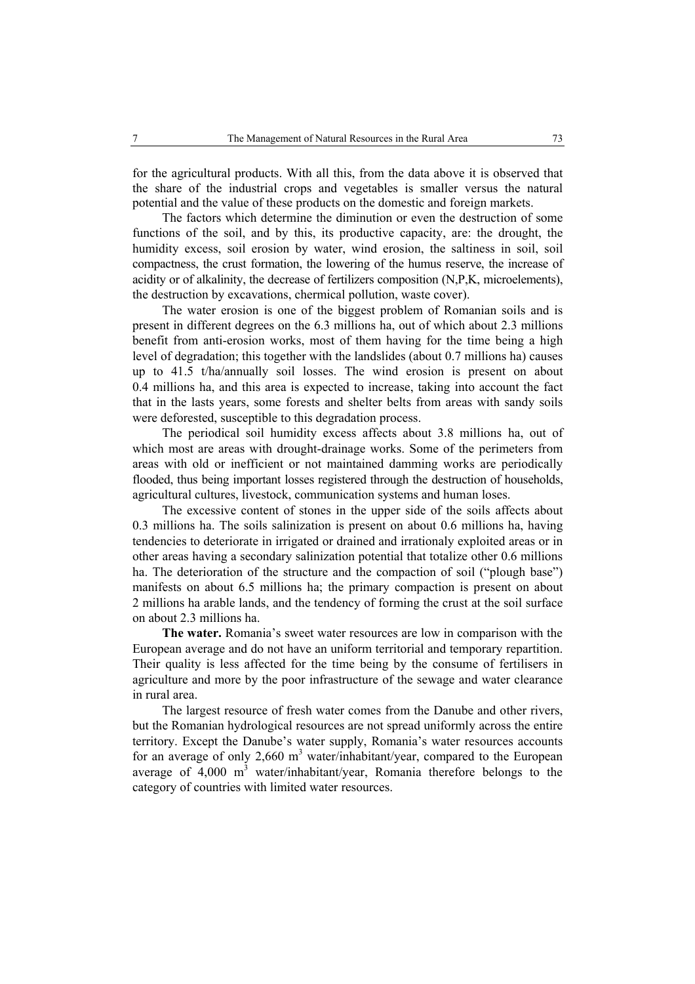for the agricultural products. With all this, from the data above it is observed that the share of the industrial crops and vegetables is smaller versus the natural potential and the value of these products on the domestic and foreign markets.

The factors which determine the diminution or even the destruction of some functions of the soil, and by this, its productive capacity, are: the drought, the humidity excess, soil erosion by water, wind erosion, the saltiness in soil, soil compactness, the crust formation, the lowering of the humus reserve, the increase of acidity or of alkalinity, the decrease of fertilizers composition (N,P,K, microelements), the destruction by excavations, chermical pollution, waste cover).

The water erosion is one of the biggest problem of Romanian soils and is present in different degrees on the 6.3 millions ha, out of which about 2.3 millions benefit from anti-erosion works, most of them having for the time being a high level of degradation; this together with the landslides (about 0.7 millions ha) causes up to 41.5 t/ha/annually soil losses. The wind erosion is present on about 0.4 millions ha, and this area is expected to increase, taking into account the fact that in the lasts years, some forests and shelter belts from areas with sandy soils were deforested, susceptible to this degradation process.

The periodical soil humidity excess affects about 3.8 millions ha, out of which most are areas with drought-drainage works. Some of the perimeters from areas with old or inefficient or not maintained damming works are periodically flooded, thus being important losses registered through the destruction of households, agricultural cultures, livestock, communication systems and human loses.

The excessive content of stones in the upper side of the soils affects about 0.3 millions ha. The soils salinization is present on about 0.6 millions ha, having tendencies to deteriorate in irrigated or drained and irrationaly exploited areas or in other areas having a secondary salinization potential that totalize other 0.6 millions ha. The deterioration of the structure and the compaction of soil ("plough base") manifests on about 6.5 millions ha; the primary compaction is present on about 2 millions ha arable lands, and the tendency of forming the crust at the soil surface on about 2.3 millions ha.

**The water.** Romania's sweet water resources are low in comparison with the European average and do not have an uniform territorial and temporary repartition. Their quality is less affected for the time being by the consume of fertilisers in agriculture and more by the poor infrastructure of the sewage and water clearance in rural area.

The largest resource of fresh water comes from the Danube and other rivers, but the Romanian hydrological resources are not spread uniformly across the entire territory. Except the Danube's water supply, Romania's water resources accounts for an average of only 2,660  $m<sup>3</sup>$  water/inhabitant/year, compared to the European average of  $4,000 \text{ m}^3$  water/inhabitant/year, Romania therefore belongs to the category of countries with limited water resources.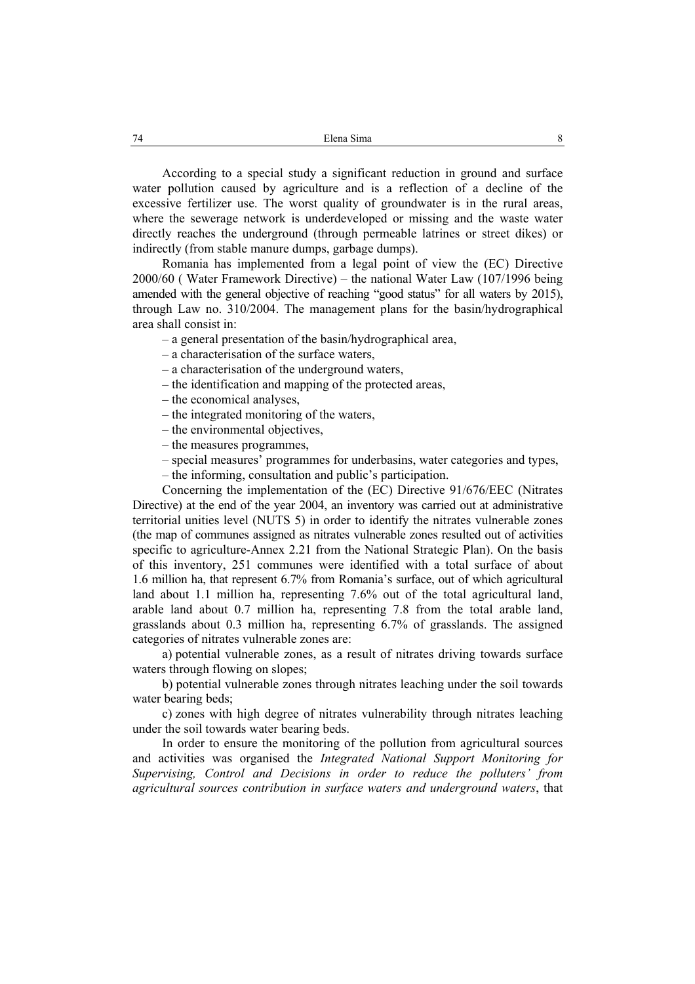According to a special study a significant reduction in ground and surface water pollution caused by agriculture and is a reflection of a decline of the excessive fertilizer use. The worst quality of groundwater is in the rural areas, where the sewerage network is underdeveloped or missing and the waste water directly reaches the underground (through permeable latrines or street dikes) or indirectly (from stable manure dumps, garbage dumps).

Romania has implemented from a legal point of view the (EC) Directive 2000/60 ( Water Framework Directive) – the national Water Law (107/1996 being amended with the general objective of reaching "good status" for all waters by 2015), through Law no. 310/2004. The management plans for the basin/hydrographical area shall consist in:

– a general presentation of the basin/hydrographical area,

- a characterisation of the surface waters,
- a characterisation of the underground waters,
- the identification and mapping of the protected areas,
- the economical analyses,
- the integrated monitoring of the waters,
- the environmental objectives,
- the measures programmes,
- special measures' programmes for underbasins, water categories and types,
- the informing, consultation and public's participation.

Concerning the implementation of the (EC) Directive 91/676/EEC (Nitrates Directive) at the end of the year 2004, an inventory was carried out at administrative territorial unities level (NUTS 5) in order to identify the nitrates vulnerable zones (the map of communes assigned as nitrates vulnerable zones resulted out of activities specific to agriculture-Annex 2.21 from the National Strategic Plan). On the basis of this inventory, 251 communes were identified with a total surface of about 1.6 million ha, that represent 6.7% from Romania's surface, out of which agricultural land about 1.1 million ha, representing 7.6% out of the total agricultural land, arable land about 0.7 million ha, representing 7.8 from the total arable land, grasslands about 0.3 million ha, representing 6.7% of grasslands. The assigned categories of nitrates vulnerable zones are:

a) potential vulnerable zones, as a result of nitrates driving towards surface waters through flowing on slopes;

b) potential vulnerable zones through nitrates leaching under the soil towards water bearing beds:

c) zones with high degree of nitrates vulnerability through nitrates leaching under the soil towards water bearing beds.

In order to ensure the monitoring of the pollution from agricultural sources and activities was organised the *Integrated National Support Monitoring for Supervising, Control and Decisions in order to reduce the polluters' from agricultural sources contribution in surface waters and underground waters*, that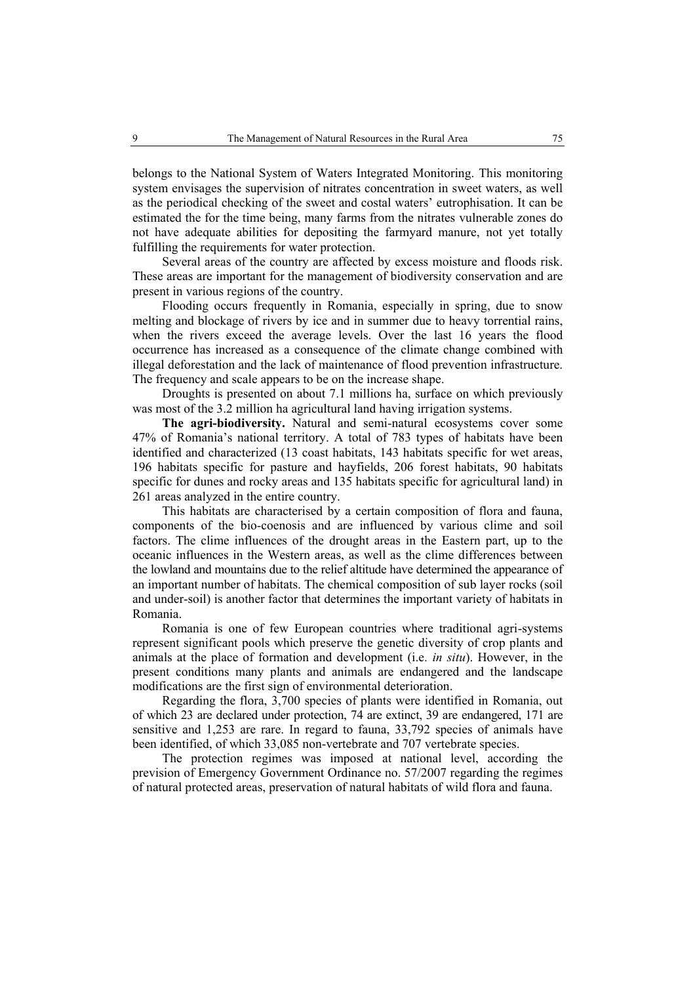belongs to the National System of Waters Integrated Monitoring. This monitoring system envisages the supervision of nitrates concentration in sweet waters, as well as the periodical checking of the sweet and costal waters' eutrophisation. It can be estimated the for the time being, many farms from the nitrates vulnerable zones do not have adequate abilities for depositing the farmyard manure, not yet totally fulfilling the requirements for water protection.

Several areas of the country are affected by excess moisture and floods risk. These areas are important for the management of biodiversity conservation and are present in various regions of the country.

Flooding occurs frequently in Romania, especially in spring, due to snow melting and blockage of rivers by ice and in summer due to heavy torrential rains, when the rivers exceed the average levels. Over the last 16 years the flood occurrence has increased as a consequence of the climate change combined with illegal deforestation and the lack of maintenance of flood prevention infrastructure. The frequency and scale appears to be on the increase shape.

Droughts is presented on about 7.1 millions ha, surface on which previously was most of the 3.2 million ha agricultural land having irrigation systems.

**The agri-biodiversity.** Natural and semi-natural ecosystems cover some 47% of Romania's national territory. A total of 783 types of habitats have been identified and characterized (13 coast habitats, 143 habitats specific for wet areas, 196 habitats specific for pasture and hayfields, 206 forest habitats, 90 habitats specific for dunes and rocky areas and 135 habitats specific for agricultural land) in 261 areas analyzed in the entire country.

This habitats are characterised by a certain composition of flora and fauna, components of the bio-coenosis and are influenced by various clime and soil factors. The clime influences of the drought areas in the Eastern part, up to the oceanic influences in the Western areas, as well as the clime differences between the lowland and mountains due to the relief altitude have determined the appearance of an important number of habitats. The chemical composition of sub layer rocks (soil and under-soil) is another factor that determines the important variety of habitats in Romania.

Romania is one of few European countries where traditional agri-systems represent significant pools which preserve the genetic diversity of crop plants and animals at the place of formation and development (i.e. *in situ*). However, in the present conditions many plants and animals are endangered and the landscape modifications are the first sign of environmental deterioration.

Regarding the flora, 3,700 species of plants were identified in Romania, out of which 23 are declared under protection, 74 are extinct, 39 are endangered, 171 are sensitive and 1,253 are rare. In regard to fauna, 33,792 species of animals have been identified, of which 33,085 non-vertebrate and 707 vertebrate species.

The protection regimes was imposed at national level, according the prevision of Emergency Government Ordinance no. 57/2007 regarding the regimes of natural protected areas, preservation of natural habitats of wild flora and fauna.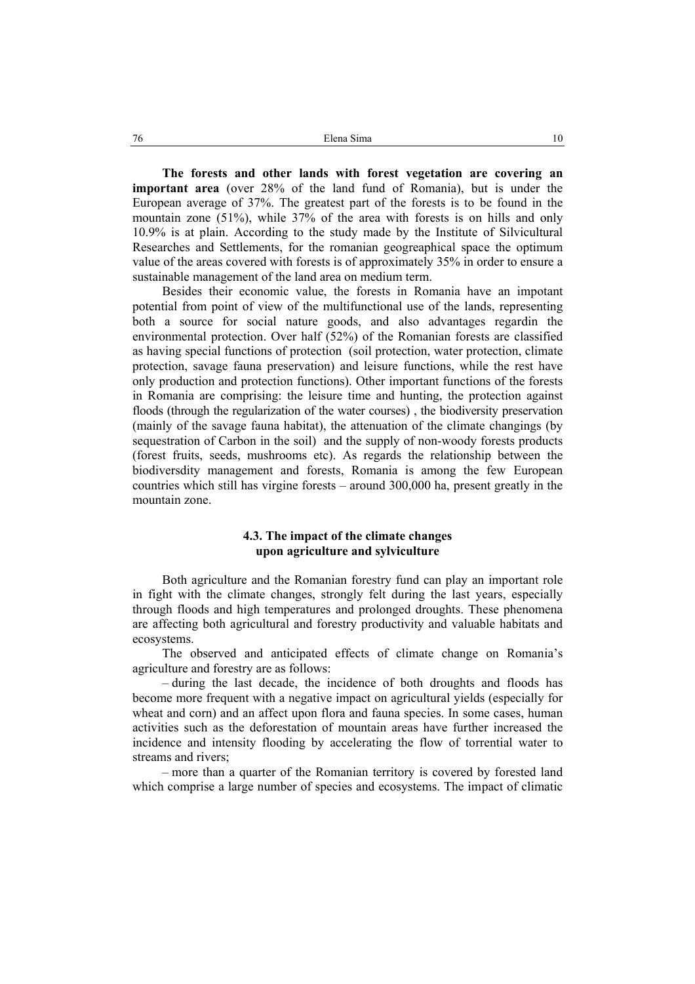**The forests and other lands with forest vegetation are covering an important area** (over 28% of the land fund of Romania), but is under the European average of 37%. The greatest part of the forests is to be found in the mountain zone (51%), while 37% of the area with forests is on hills and only 10.9% is at plain. According to the study made by the Institute of Silvicultural Researches and Settlements, for the romanian geogreaphical space the optimum value of the areas covered with forests is of approximately 35% in order to ensure a sustainable management of the land area on medium term.

Besides their economic value, the forests in Romania have an impotant potential from point of view of the multifunctional use of the lands, representing both a source for social nature goods, and also advantages regardin the environmental protection. Over half (52%) of the Romanian forests are classified as having special functions of protection (soil protection, water protection, climate protection, savage fauna preservation) and leisure functions, while the rest have only production and protection functions). Other important functions of the forests in Romania are comprising: the leisure time and hunting, the protection against floods (through the regularization of the water courses) , the biodiversity preservation (mainly of the savage fauna habitat), the attenuation of the climate changings (by sequestration of Carbon in the soil) and the supply of non-woody forests products (forest fruits, seeds, mushrooms etc). As regards the relationship between the biodiversdity management and forests, Romania is among the few European countries which still has virgine forests – around 300,000 ha, present greatly in the mountain zone.

# **4.3. The impact of the climate changes upon agriculture and sylviculture**

Both agriculture and the Romanian forestry fund can play an important role in fight with the climate changes, strongly felt during the last years, especially through floods and high temperatures and prolonged droughts. These phenomena are affecting both agricultural and forestry productivity and valuable habitats and ecosystems.

The observed and anticipated effects of climate change on Romania's agriculture and forestry are as follows:

– during the last decade, the incidence of both droughts and floods has become more frequent with a negative impact on agricultural yields (especially for wheat and corn) and an affect upon flora and fauna species. In some cases, human activities such as the deforestation of mountain areas have further increased the incidence and intensity flooding by accelerating the flow of torrential water to streams and rivers;

– more than a quarter of the Romanian territory is covered by forested land which comprise a large number of species and ecosystems. The impact of climatic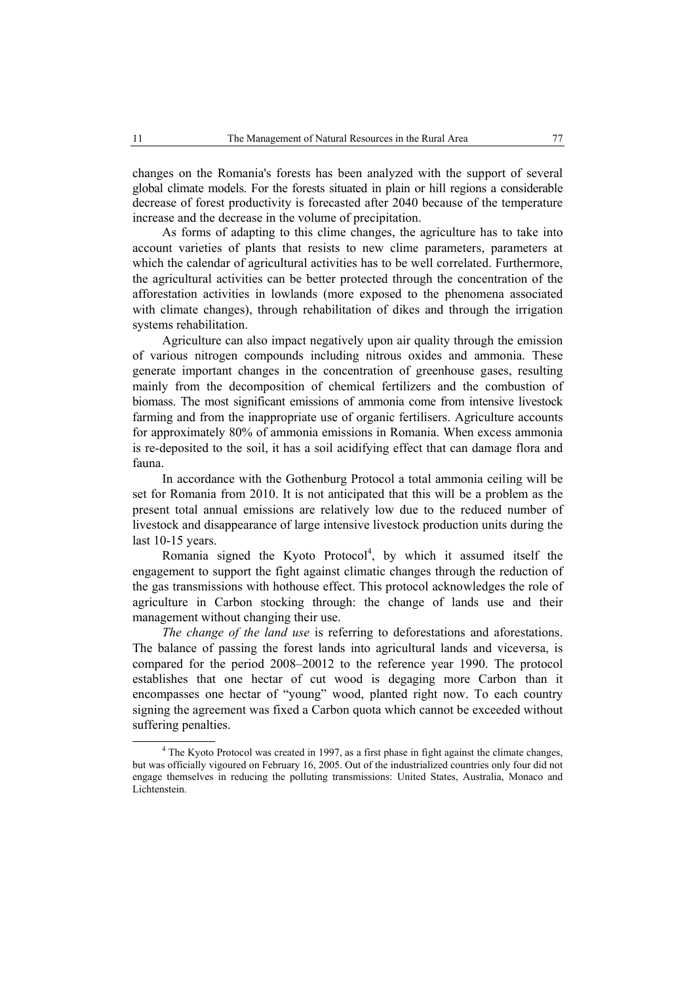changes on the Romania's forests has been analyzed with the support of several global climate models. For the forests situated in plain or hill regions a considerable decrease of forest productivity is forecasted after 2040 because of the temperature increase and the decrease in the volume of precipitation.

As forms of adapting to this clime changes, the agriculture has to take into account varieties of plants that resists to new clime parameters, parameters at which the calendar of agricultural activities has to be well correlated. Furthermore, the agricultural activities can be better protected through the concentration of the afforestation activities in lowlands (more exposed to the phenomena associated with climate changes), through rehabilitation of dikes and through the irrigation systems rehabilitation.

Agriculture can also impact negatively upon air quality through the emission of various nitrogen compounds including nitrous oxides and ammonia. These generate important changes in the concentration of greenhouse gases, resulting mainly from the decomposition of chemical fertilizers and the combustion of biomass. The most significant emissions of ammonia come from intensive livestock farming and from the inappropriate use of organic fertilisers. Agriculture accounts for approximately 80% of ammonia emissions in Romania. When excess ammonia is re-deposited to the soil, it has a soil acidifying effect that can damage flora and fauna.

In accordance with the Gothenburg Protocol a total ammonia ceiling will be set for Romania from 2010. It is not anticipated that this will be a problem as the present total annual emissions are relatively low due to the reduced number of livestock and disappearance of large intensive livestock production units during the last 10-15 years.

Romania signed the Kyoto Protocol<sup>4</sup>, by which it assumed itself the engagement to support the fight against climatic changes through the reduction of the gas transmissions with hothouse effect. This protocol acknowledges the role of agriculture in Carbon stocking through: the change of lands use and their management without changing their use.

*The change of the land use* is referring to deforestations and aforestations. The balance of passing the forest lands into agricultural lands and viceversa, is compared for the period 2008–20012 to the reference year 1990. The protocol establishes that one hectar of cut wood is degaging more Carbon than it encompasses one hectar of "young" wood, planted right now. To each country signing the agreement was fixed a Carbon quota which cannot be exceeded without suffering penalties.

 $\overline{4}$ <sup>4</sup> The Kyoto Protocol was created in 1997, as a first phase in fight against the climate changes, but was officially vigoured on February 16, 2005. Out of the industrialized countries only four did not engage themselves in reducing the polluting transmissions: United States, Australia, Monaco and Lichtenstein.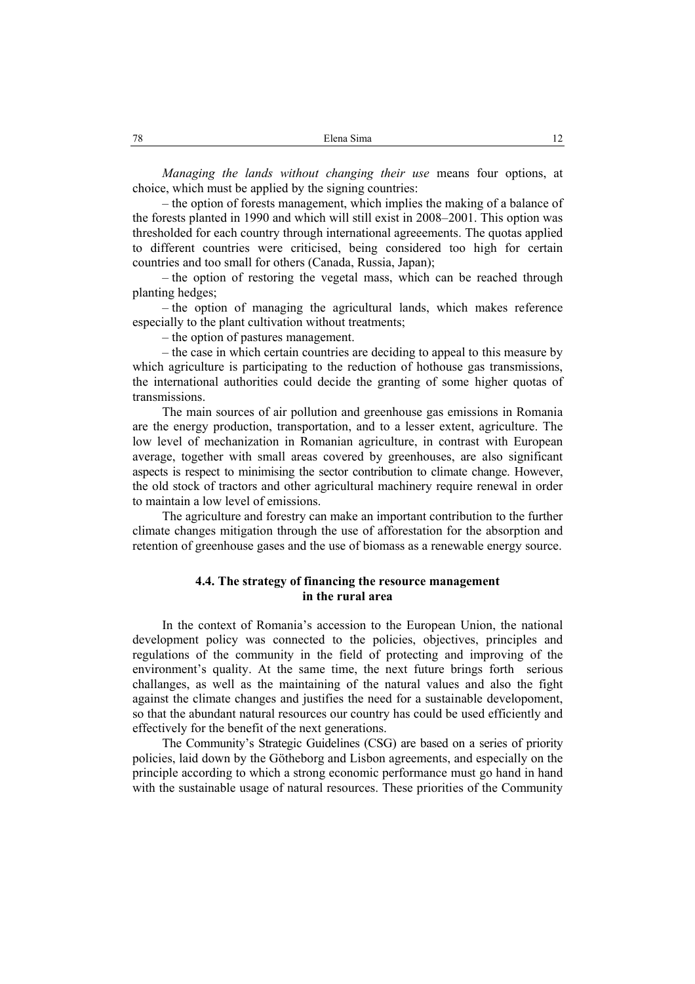*Managing the lands without changing their use* means four options, at choice, which must be applied by the signing countries:

– the option of forests management, which implies the making of a balance of the forests planted in 1990 and which will still exist in 2008–2001. This option was thresholded for each country through international agreeements. The quotas applied to different countries were criticised, being considered too high for certain countries and too small for others (Canada, Russia, Japan);

– the option of restoring the vegetal mass, which can be reached through planting hedges;

– the option of managing the agricultural lands, which makes reference especially to the plant cultivation without treatments;

– the option of pastures management.

– the case in which certain countries are deciding to appeal to this measure by which agriculture is participating to the reduction of hothouse gas transmissions, the international authorities could decide the granting of some higher quotas of transmissions.

The main sources of air pollution and greenhouse gas emissions in Romania are the energy production, transportation, and to a lesser extent, agriculture. The low level of mechanization in Romanian agriculture, in contrast with European average, together with small areas covered by greenhouses, are also significant aspects is respect to minimising the sector contribution to climate change. However, the old stock of tractors and other agricultural machinery require renewal in order to maintain a low level of emissions.

The agriculture and forestry can make an important contribution to the further climate changes mitigation through the use of afforestation for the absorption and retention of greenhouse gases and the use of biomass as a renewable energy source.

# **4.4. The strategy of financing the resource management in the rural area**

In the context of Romania's accession to the European Union, the national development policy was connected to the policies, objectives, principles and regulations of the community in the field of protecting and improving of the environment's quality. At the same time, the next future brings forth serious challanges, as well as the maintaining of the natural values and also the fight against the climate changes and justifies the need for a sustainable developoment, so that the abundant natural resources our country has could be used efficiently and effectively for the benefit of the next generations.

The Community's Strategic Guidelines (CSG) are based on a series of priority policies, laid down by the Götheborg and Lisbon agreements, and especially on the principle according to which a strong economic performance must go hand in hand with the sustainable usage of natural resources. These priorities of the Community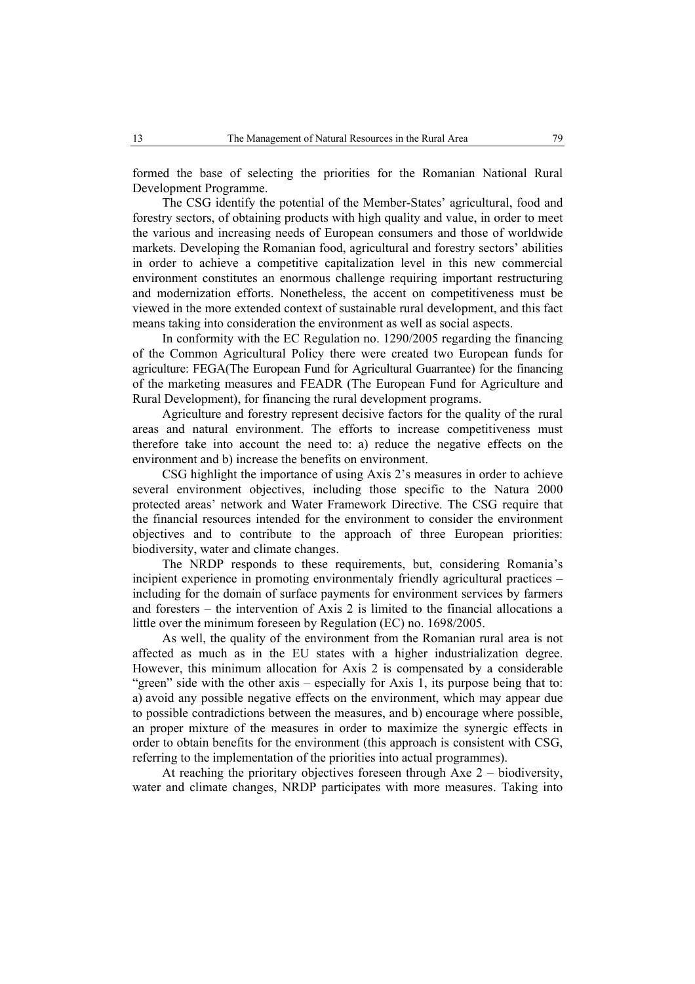formed the base of selecting the priorities for the Romanian National Rural Development Programme.

The CSG identify the potential of the Member-States' agricultural, food and forestry sectors, of obtaining products with high quality and value, in order to meet the various and increasing needs of European consumers and those of worldwide markets. Developing the Romanian food, agricultural and forestry sectors' abilities in order to achieve a competitive capitalization level in this new commercial environment constitutes an enormous challenge requiring important restructuring and modernization efforts. Nonetheless, the accent on competitiveness must be viewed in the more extended context of sustainable rural development, and this fact means taking into consideration the environment as well as social aspects.

In conformity with the EC Regulation no. 1290/2005 regarding the financing of the Common Agricultural Policy there were created two European funds for agriculture: FEGA(The European Fund for Agricultural Guarrantee) for the financing of the marketing measures and FEADR (The European Fund for Agriculture and Rural Development), for financing the rural development programs.

Agriculture and forestry represent decisive factors for the quality of the rural areas and natural environment. The efforts to increase competitiveness must therefore take into account the need to: a) reduce the negative effects on the environment and b) increase the benefits on environment.

CSG highlight the importance of using Axis 2's measures in order to achieve several environment objectives, including those specific to the Natura 2000 protected areas' network and Water Framework Directive. The CSG require that the financial resources intended for the environment to consider the environment objectives and to contribute to the approach of three European priorities: biodiversity, water and climate changes.

The NRDP responds to these requirements, but, considering Romania's incipient experience in promoting environmentaly friendly agricultural practices – including for the domain of surface payments for environment services by farmers and foresters – the intervention of Axis 2 is limited to the financial allocations a little over the minimum foreseen by Regulation (EC) no. 1698/2005.

As well, the quality of the environment from the Romanian rural area is not affected as much as in the EU states with a higher industrialization degree. However, this minimum allocation for Axis 2 is compensated by a considerable "green" side with the other axis – especially for Axis 1, its purpose being that to: a) avoid any possible negative effects on the environment, which may appear due to possible contradictions between the measures, and b) encourage where possible, an proper mixture of the measures in order to maximize the synergic effects in order to obtain benefits for the environment (this approach is consistent with CSG, referring to the implementation of the priorities into actual programmes).

At reaching the prioritary objectives foreseen through Axe 2 – biodiversity, water and climate changes, NRDP participates with more measures. Taking into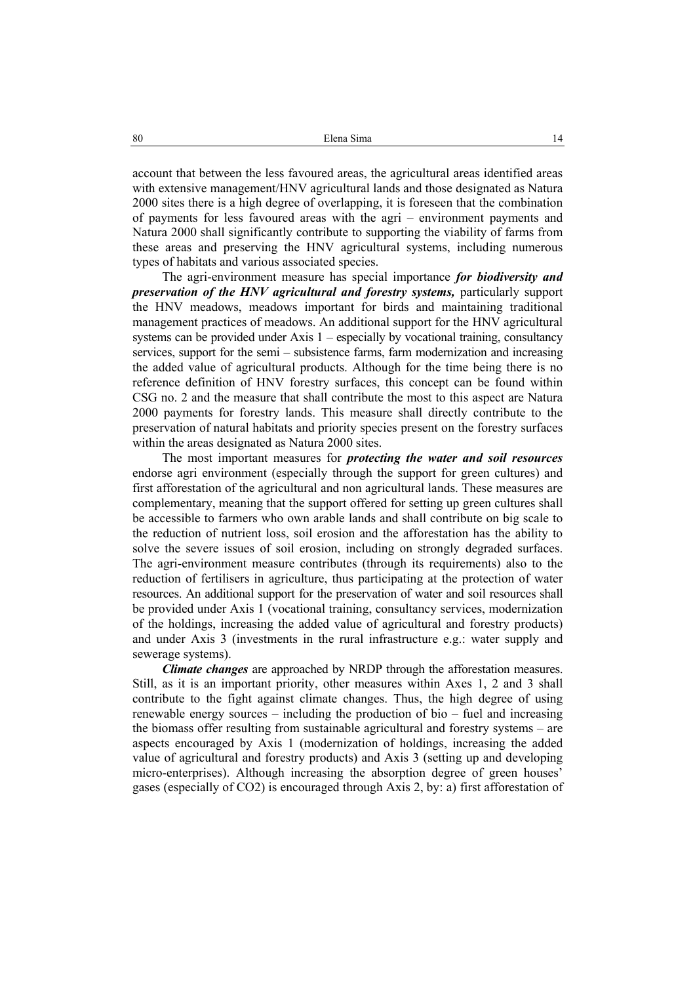account that between the less favoured areas, the agricultural areas identified areas with extensive management/HNV agricultural lands and those designated as Natura 2000 sites there is a high degree of overlapping, it is foreseen that the combination of payments for less favoured areas with the agri – environment payments and Natura 2000 shall significantly contribute to supporting the viability of farms from these areas and preserving the HNV agricultural systems, including numerous types of habitats and various associated species.

The agri-environment measure has special importance *for biodiversity and preservation of the HNV agricultural and forestry systems,* particularly support the HNV meadows, meadows important for birds and maintaining traditional management practices of meadows. An additional support for the HNV agricultural systems can be provided under Axis  $1$  – especially by vocational training, consultancy services, support for the semi – subsistence farms, farm modernization and increasing the added value of agricultural products. Although for the time being there is no reference definition of HNV forestry surfaces, this concept can be found within CSG no. 2 and the measure that shall contribute the most to this aspect are Natura 2000 payments for forestry lands. This measure shall directly contribute to the preservation of natural habitats and priority species present on the forestry surfaces within the areas designated as Natura 2000 sites.

The most important measures for *protecting the water and soil resources* endorse agri environment (especially through the support for green cultures) and first afforestation of the agricultural and non agricultural lands. These measures are complementary, meaning that the support offered for setting up green cultures shall be accessible to farmers who own arable lands and shall contribute on big scale to the reduction of nutrient loss, soil erosion and the afforestation has the ability to solve the severe issues of soil erosion, including on strongly degraded surfaces. The agri-environment measure contributes (through its requirements) also to the reduction of fertilisers in agriculture, thus participating at the protection of water resources. An additional support for the preservation of water and soil resources shall be provided under Axis 1 (vocational training, consultancy services, modernization of the holdings, increasing the added value of agricultural and forestry products) and under Axis 3 (investments in the rural infrastructure e.g.: water supply and sewerage systems).

*Climate changes* are approached by NRDP through the afforestation measures. Still, as it is an important priority, other measures within Axes 1, 2 and 3 shall contribute to the fight against climate changes. Thus, the high degree of using renewable energy sources – including the production of bio – fuel and increasing the biomass offer resulting from sustainable agricultural and forestry systems – are aspects encouraged by Axis 1 (modernization of holdings, increasing the added value of agricultural and forestry products) and Axis 3 (setting up and developing micro-enterprises). Although increasing the absorption degree of green houses' gases (especially of CO2) is encouraged through Axis 2, by: a) first afforestation of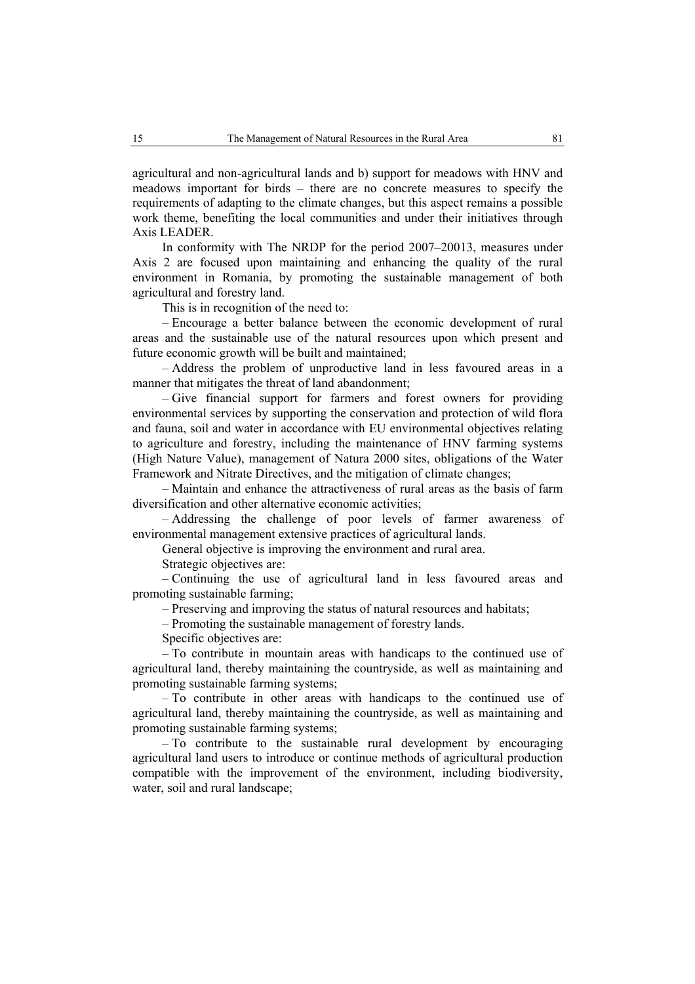agricultural and non-agricultural lands and b) support for meadows with HNV and meadows important for birds – there are no concrete measures to specify the requirements of adapting to the climate changes, but this aspect remains a possible work theme, benefiting the local communities and under their initiatives through Axis LEADER.

In conformity with The NRDP for the period 2007–20013, measures under Axis 2 are focused upon maintaining and enhancing the quality of the rural environment in Romania, by promoting the sustainable management of both agricultural and forestry land.

This is in recognition of the need to:

– Encourage a better balance between the economic development of rural areas and the sustainable use of the natural resources upon which present and future economic growth will be built and maintained;

– Address the problem of unproductive land in less favoured areas in a manner that mitigates the threat of land abandonment;

– Give financial support for farmers and forest owners for providing environmental services by supporting the conservation and protection of wild flora and fauna, soil and water in accordance with EU environmental objectives relating to agriculture and forestry, including the maintenance of HNV farming systems (High Nature Value), management of Natura 2000 sites, obligations of the Water Framework and Nitrate Directives, and the mitigation of climate changes;

– Maintain and enhance the attractiveness of rural areas as the basis of farm diversification and other alternative economic activities;

– Addressing the challenge of poor levels of farmer awareness of environmental management extensive practices of agricultural lands.

General objective is improving the environment and rural area.

Strategic objectives are:

– Continuing the use of agricultural land in less favoured areas and promoting sustainable farming;

– Preserving and improving the status of natural resources and habitats;

– Promoting the sustainable management of forestry lands.

Specific objectives are:

– To contribute in mountain areas with handicaps to the continued use of agricultural land, thereby maintaining the countryside, as well as maintaining and promoting sustainable farming systems;

– To contribute in other areas with handicaps to the continued use of agricultural land, thereby maintaining the countryside, as well as maintaining and promoting sustainable farming systems;

– To contribute to the sustainable rural development by encouraging agricultural land users to introduce or continue methods of agricultural production compatible with the improvement of the environment, including biodiversity, water, soil and rural landscape;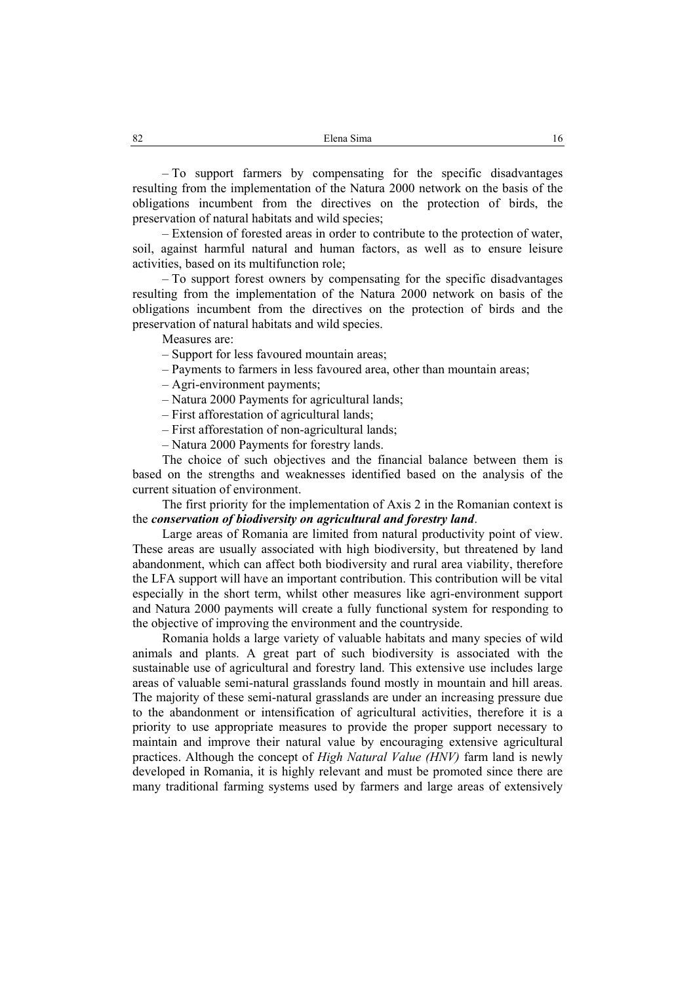– To support farmers by compensating for the specific disadvantages resulting from the implementation of the Natura 2000 network on the basis of the obligations incumbent from the directives on the protection of birds, the preservation of natural habitats and wild species;

– Extension of forested areas in order to contribute to the protection of water, soil, against harmful natural and human factors, as well as to ensure leisure activities, based on its multifunction role;

– To support forest owners by compensating for the specific disadvantages resulting from the implementation of the Natura 2000 network on basis of the obligations incumbent from the directives on the protection of birds and the preservation of natural habitats and wild species.

Measures are:

– Support for less favoured mountain areas;

- Payments to farmers in less favoured area, other than mountain areas;
- Agri-environment payments;
- Natura 2000 Payments for agricultural lands;

– First afforestation of agricultural lands;

- First afforestation of non-agricultural lands;
- Natura 2000 Payments for forestry lands.

The choice of such objectives and the financial balance between them is based on the strengths and weaknesses identified based on the analysis of the current situation of environment.

The first priority for the implementation of Axis 2 in the Romanian context is the *conservation of biodiversity on agricultural and forestry land*.

Large areas of Romania are limited from natural productivity point of view. These areas are usually associated with high biodiversity, but threatened by land abandonment, which can affect both biodiversity and rural area viability, therefore the LFA support will have an important contribution. This contribution will be vital especially in the short term, whilst other measures like agri-environment support and Natura 2000 payments will create a fully functional system for responding to the objective of improving the environment and the countryside.

Romania holds a large variety of valuable habitats and many species of wild animals and plants. A great part of such biodiversity is associated with the sustainable use of agricultural and forestry land. This extensive use includes large areas of valuable semi-natural grasslands found mostly in mountain and hill areas. The majority of these semi-natural grasslands are under an increasing pressure due to the abandonment or intensification of agricultural activities, therefore it is a priority to use appropriate measures to provide the proper support necessary to maintain and improve their natural value by encouraging extensive agricultural practices. Although the concept of *High Natural Value (HNV)* farm land is newly developed in Romania, it is highly relevant and must be promoted since there are many traditional farming systems used by farmers and large areas of extensively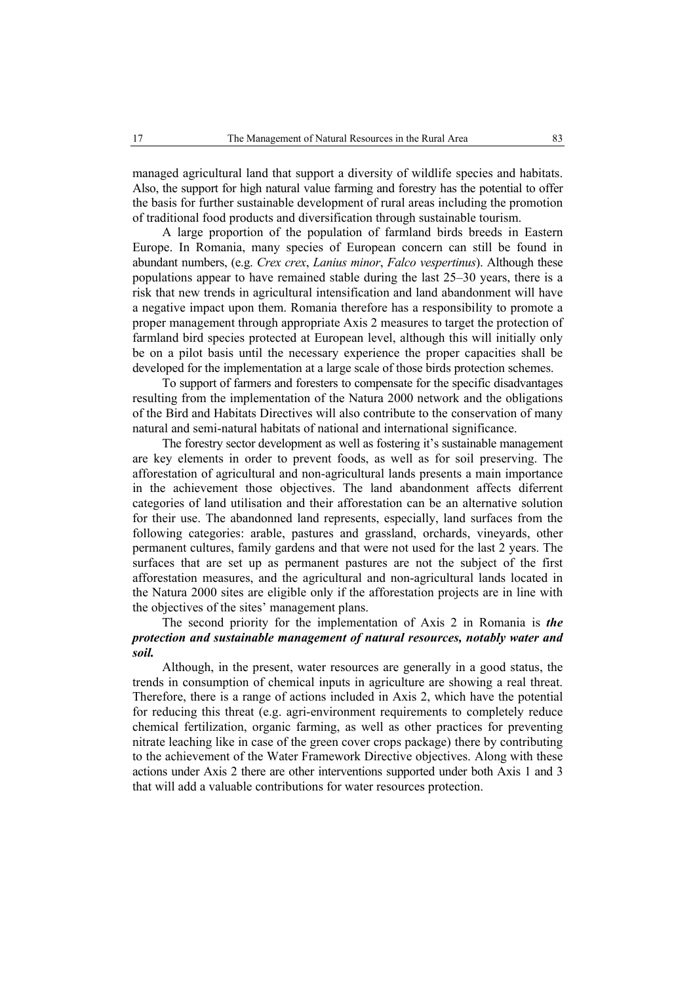managed agricultural land that support a diversity of wildlife species and habitats. Also, the support for high natural value farming and forestry has the potential to offer the basis for further sustainable development of rural areas including the promotion of traditional food products and diversification through sustainable tourism.

A large proportion of the population of farmland birds breeds in Eastern Europe. In Romania, many species of European concern can still be found in abundant numbers, (e.g. *Crex crex*, *Lanius minor*, *Falco vespertinus*). Although these populations appear to have remained stable during the last 25–30 years, there is a risk that new trends in agricultural intensification and land abandonment will have a negative impact upon them. Romania therefore has a responsibility to promote a proper management through appropriate Axis 2 measures to target the protection of farmland bird species protected at European level, although this will initially only be on a pilot basis until the necessary experience the proper capacities shall be developed for the implementation at a large scale of those birds protection schemes.

To support of farmers and foresters to compensate for the specific disadvantages resulting from the implementation of the Natura 2000 network and the obligations of the Bird and Habitats Directives will also contribute to the conservation of many natural and semi-natural habitats of national and international significance.

The forestry sector development as well as fostering it's sustainable management are key elements in order to prevent foods, as well as for soil preserving. The afforestation of agricultural and non-agricultural lands presents a main importance in the achievement those objectives. The land abandonment affects diferrent categories of land utilisation and their afforestation can be an alternative solution for their use. The abandonned land represents, especially, land surfaces from the following categories: arable, pastures and grassland, orchards, vineyards, other permanent cultures, family gardens and that were not used for the last 2 years. The surfaces that are set up as permanent pastures are not the subject of the first afforestation measures, and the agricultural and non-agricultural lands located in the Natura 2000 sites are eligible only if the afforestation projects are in line with the objectives of the sites' management plans.

# The second priority for the implementation of Axis 2 in Romania is *the protection and sustainable management of natural resources, notably water and soil.*

Although, in the present, water resources are generally in a good status, the trends in consumption of chemical inputs in agriculture are showing a real threat. Therefore, there is a range of actions included in Axis 2, which have the potential for reducing this threat (e.g. agri-environment requirements to completely reduce chemical fertilization, organic farming, as well as other practices for preventing nitrate leaching like in case of the green cover crops package) there by contributing to the achievement of the Water Framework Directive objectives. Along with these actions under Axis 2 there are other interventions supported under both Axis 1 and 3 that will add a valuable contributions for water resources protection.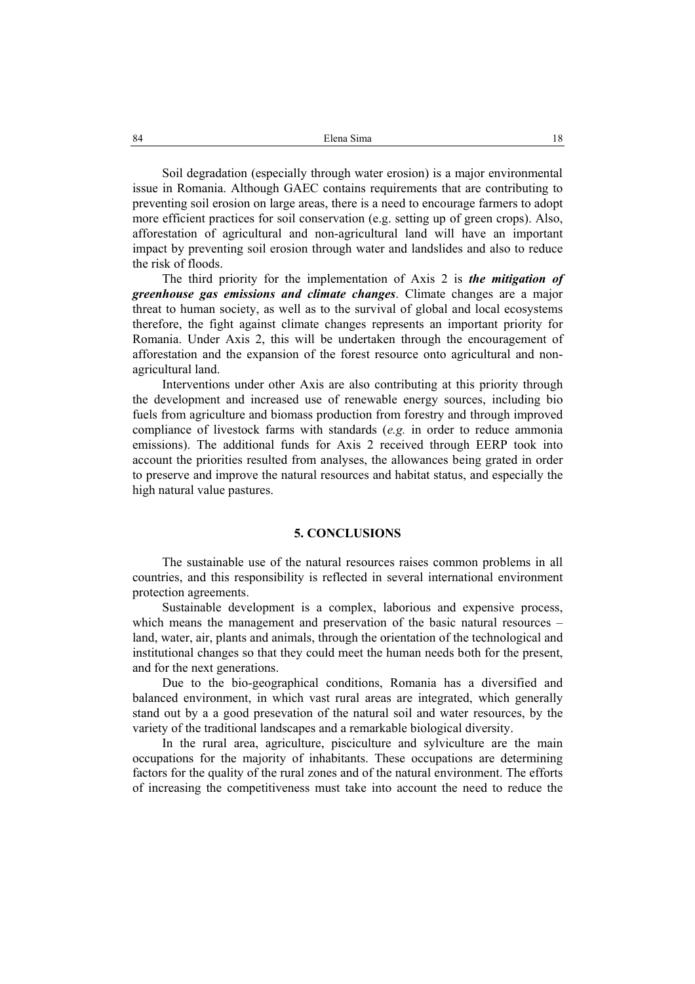Soil degradation (especially through water erosion) is a major environmental issue in Romania. Although GAEC contains requirements that are contributing to preventing soil erosion on large areas, there is a need to encourage farmers to adopt more efficient practices for soil conservation (e.g. setting up of green crops). Also, afforestation of agricultural and non-agricultural land will have an important impact by preventing soil erosion through water and landslides and also to reduce the risk of floods.

The third priority for the implementation of Axis 2 is *the mitigation of greenhouse gas emissions and climate changes*. Climate changes are a major threat to human society, as well as to the survival of global and local ecosystems therefore, the fight against climate changes represents an important priority for Romania. Under Axis 2, this will be undertaken through the encouragement of afforestation and the expansion of the forest resource onto agricultural and nonagricultural land.

Interventions under other Axis are also contributing at this priority through the development and increased use of renewable energy sources, including bio fuels from agriculture and biomass production from forestry and through improved compliance of livestock farms with standards (*e.g.* in order to reduce ammonia emissions). The additional funds for Axis 2 received through EERP took into account the priorities resulted from analyses, the allowances being grated in order to preserve and improve the natural resources and habitat status, and especially the high natural value pastures.

### **5. CONCLUSIONS**

The sustainable use of the natural resources raises common problems in all countries, and this responsibility is reflected in several international environment protection agreements.

Sustainable development is a complex, laborious and expensive process, which means the management and preservation of the basic natural resources – land, water, air, plants and animals, through the orientation of the technological and institutional changes so that they could meet the human needs both for the present, and for the next generations.

Due to the bio-geographical conditions, Romania has a diversified and balanced environment, in which vast rural areas are integrated, which generally stand out by a a good presevation of the natural soil and water resources, by the variety of the traditional landscapes and a remarkable biological diversity.

In the rural area, agriculture, pisciculture and sylviculture are the main occupations for the majority of inhabitants. These occupations are determining factors for the quality of the rural zones and of the natural environment. The efforts of increasing the competitiveness must take into account the need to reduce the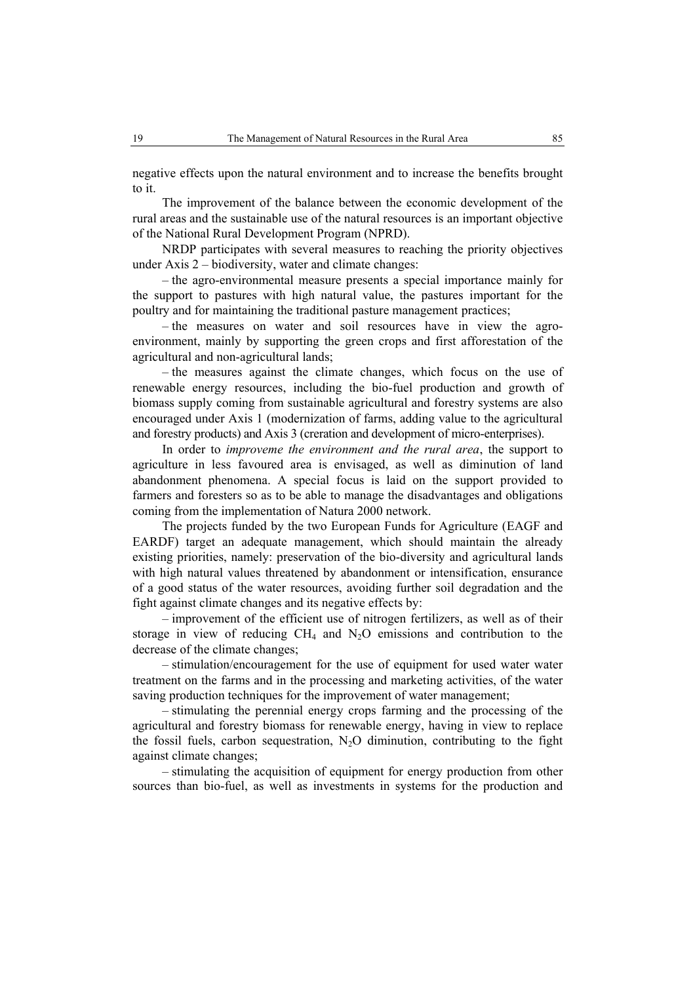negative effects upon the natural environment and to increase the benefits brought to it.

The improvement of the balance between the economic development of the rural areas and the sustainable use of the natural resources is an important objective of the National Rural Development Program (NPRD).

NRDP participates with several measures to reaching the priority objectives under Axis 2 – biodiversity, water and climate changes:

– the agro-environmental measure presents a special importance mainly for the support to pastures with high natural value, the pastures important for the poultry and for maintaining the traditional pasture management practices;

– the measures on water and soil resources have in view the agroenvironment, mainly by supporting the green crops and first afforestation of the agricultural and non-agricultural lands;

– the measures against the climate changes, which focus on the use of renewable energy resources, including the bio-fuel production and growth of biomass supply coming from sustainable agricultural and forestry systems are also encouraged under Axis 1 (modernization of farms, adding value to the agricultural and forestry products) and Axis 3 (creration and development of micro-enterprises).

In order to *improveme the environment and the rural area*, the support to agriculture in less favoured area is envisaged, as well as diminution of land abandonment phenomena. A special focus is laid on the support provided to farmers and foresters so as to be able to manage the disadvantages and obligations coming from the implementation of Natura 2000 network.

The projects funded by the two European Funds for Agriculture (EAGF and EARDF) target an adequate management, which should maintain the already existing priorities, namely: preservation of the bio-diversity and agricultural lands with high natural values threatened by abandonment or intensification, ensurance of a good status of the water resources, avoiding further soil degradation and the fight against climate changes and its negative effects by:

– improvement of the efficient use of nitrogen fertilizers, as well as of their storage in view of reducing  $CH_4$  and  $N_2O$  emissions and contribution to the decrease of the climate changes;

– stimulation/encouragement for the use of equipment for used water water treatment on the farms and in the processing and marketing activities, of the water saving production techniques for the improvement of water management;

– stimulating the perennial energy crops farming and the processing of the agricultural and forestry biomass for renewable energy, having in view to replace the fossil fuels, carbon sequestration,  $N<sub>2</sub>O$  diminution, contributing to the fight against climate changes;

– stimulating the acquisition of equipment for energy production from other sources than bio-fuel, as well as investments in systems for the production and